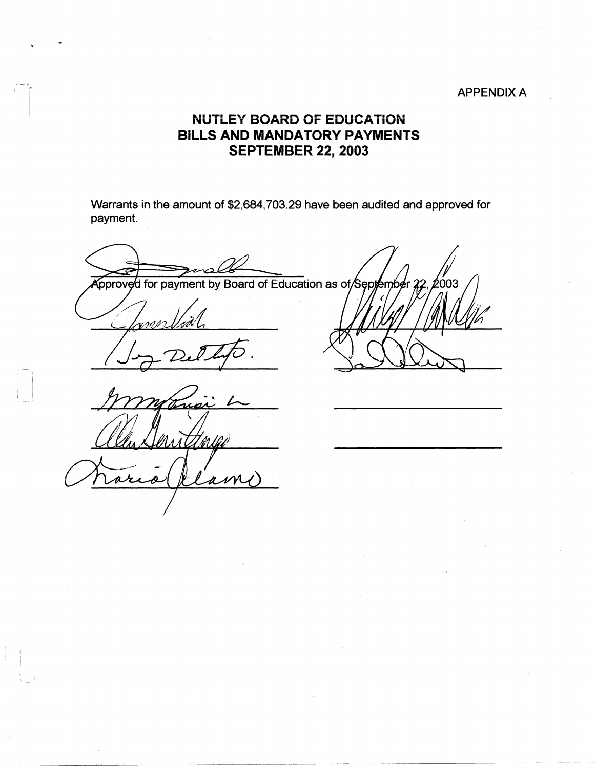## APPENDIX A

## **NUTLEY BOARD OF EDUCATION BILLS AND MANDATORY PAYMENTS SEPTEMBER 22, 2003**

Warrants in the amount of \$2,684,703.29 have been audited and approved for payment.

pproved for payment by Board of Education as of September

aw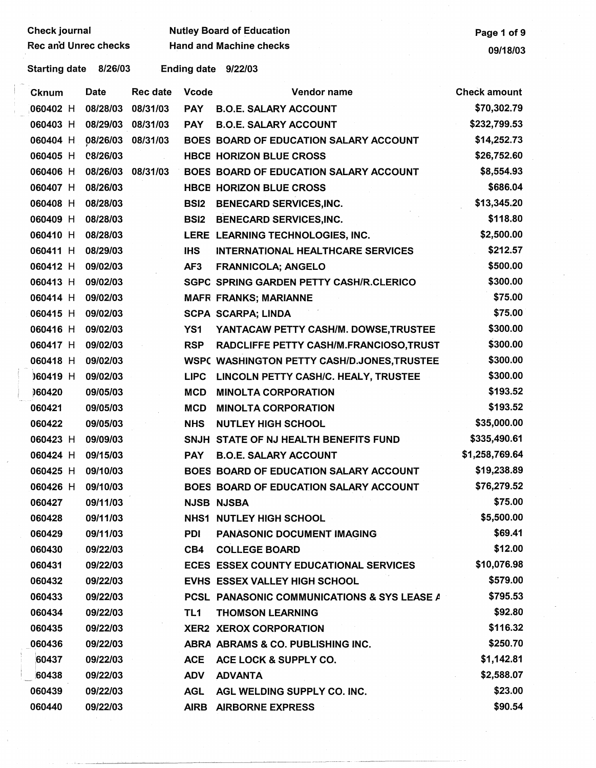| Check journal         |                   |                   |              | <b>Nutley Board of Education</b>              | Page 1 of 9         |
|-----------------------|-------------------|-------------------|--------------|-----------------------------------------------|---------------------|
| Rec and Unrec checks  |                   |                   |              | <b>Hand and Machine checks</b>                | 09/18/03            |
| Starting date 8/26/03 |                   |                   |              | Ending date 9/22/03                           |                     |
| Cknum                 | Date              | Rec date          | <b>Vcode</b> | Vendor name                                   | <b>Check amount</b> |
| 060402 H              | 08/28/03          | 08/31/03          | <b>PAY</b>   | <b>B.O.E. SALARY ACCOUNT</b>                  | \$70,302.79         |
| 060403 H              |                   | 08/29/03 08/31/03 | <b>PAY</b>   | <b>B.O.E. SALARY ACCOUNT</b>                  | \$232,799.53        |
| 060404 H              | 08/26/03 08/31/03 |                   |              | BOES BOARD OF EDUCATION SALARY ACCOUNT        | \$14,252.73         |
| 060405 H              | C8/26/03          |                   |              | <b>HBCE HORIZON BLUE CROSS</b>                | \$26,752.60         |
| 060406 H              |                   | 08/26/03 08/31/03 |              | BOES BOARD OF EDUCATION SALARY ACCOUNT        | \$8,554.93          |
| 060407 H              | 08/26/03          |                   |              | <b>HBCE HORIZON BLUE CROSS</b>                | \$686.04            |
| 060408 H              | 08/28/03          |                   | <b>BSI2</b>  | <b>BENECARD SERVICES, INC.</b>                | \$13,345.20         |
| 060409 H              | 08/28/03          |                   | <b>BSI2</b>  | <b>BENECARD SERVICES, INC.</b>                | \$118.80            |
| 060410 H              | 08/28/03          |                   |              | LERE LEARNING TECHNOLOGIES, INC.              | \$2,500.00          |
| 060411 H              | 08/29/03          |                   | <b>IHS</b>   | <b>INTERNATIONAL HEALTHCARE SERVICES</b>      | \$212.57            |
| 060412 H              | 09/02/03          |                   | AF3          | <b>FRANNICOLA; ANGELO</b>                     | \$500.00            |
| 060413 H              | 09/02/03          |                   |              | SGPC SPRING GARDEN PETTY CASH/R.CLERICO       | \$300.00            |
| 060414 H              | 09/02/03          |                   |              | <b>MAFR FRANKS; MARIANNE</b>                  | \$75.00             |
| 060415 H              | 09/02/03          |                   |              | <b>SCPA SCARPA; LINDA</b>                     | \$75.00             |
| 060416 H              | 09/02/03          |                   | YS1          | YANTACAW PETTY CASH/M. DOWSE, TRUSTEE         | \$300.00            |
| 060417 H              | 09/02/03          |                   | <b>RSP</b>   | RADCLIFFE PETTY CASH/M.FRANCIOSO,TRUST        | \$300.00            |
| 060418 H              | 09/02/03          |                   |              | WSPC WASHINGTON PETTY CASH/D.JONES, TRUSTEE   | \$300.00            |
| 060419 H              | 09/02/03          |                   | <b>LIPC</b>  | LINCOLN PETTY CASH/C. HEALY, TRUSTEE          | \$300.00            |
| 060420                | 09/05/03          |                   | <b>MCD</b>   | <b>MINOLTA CORPORATION</b>                    | \$193.52            |
| 060421                | 09/05/03          |                   | <b>MCD</b>   | <b>MINOLTA CORPORATION</b>                    | \$193.52            |
| 060422                | 09/05/03          |                   | <b>NHS</b>   | <b>NUTLEY HIGH SCHOOL</b>                     | \$35,000.00         |
| 060423 H              | 09/09/03          |                   |              | SNJH STATE OF NJ HEALTH BENEFITS FUND         | \$335,490.61        |
| 060424 H              | 09/15/03          |                   | <b>PAY</b>   | <b>B.O.E. SALARY ACCOUNT</b>                  | \$1,258,769.64      |
| 060425 H              | 09/10/03          |                   |              | BOES BOARD OF EDUCATION SALARY ACCOUNT        | \$19,238.89         |
| 060426 H              | 09/10/03          |                   |              | BOES BOARD OF EDUCATION SALARY ACCOUNT        | \$76,279.52         |
| 060427                | 09/11/03          |                   |              | <b>NJSB NJSBA</b>                             | \$75.00             |
| 060428                | 09/11/03          |                   |              | <b>NHS1 NUTLEY HIGH SCHOOL</b>                | \$5,500.00          |
| 060429                | 09/11/03          |                   | <b>PDI</b>   | PANÁSONIC DOCUMENT IMAGING                    | \$69.41             |
| 060430                | 09/22/03          |                   | CB4          | <b>COLLEGE BOARD</b>                          | \$12.00             |
| 060431                | 09/22/03          |                   |              | <b>ECES ESSEX COUNTY EDUCATIONAL SERVICES</b> | \$10,076.98         |
| 060432                | 09/22/03          |                   |              | EVHS ESSEX VALLEY HIGH SCHOOL                 | \$579.00            |
| 060433                | 09/22/03          |                   |              | PCSL PANASONIC COMMUNICATIONS & SYS LEASE A   | \$795.53            |
| 060434                | 09/22/03          |                   | TL1          | <b>THOMSON LEARNING</b>                       | \$92.80             |
| 060435                | 09/22/03          |                   |              | <b>XER2 XEROX CORPORATION</b>                 | \$116.32            |
| 060436                | 09/22/03          |                   |              | ABRA ABRAMS & CO. PUBLISHING INC.             | \$250.70            |
| 60437                 | 09/22/03          |                   | <b>ACE</b>   | ACE LOCK & SUPPLY CO.                         | \$1,142.81          |
| 60438                 | 09/22/03          |                   | <b>ADV</b>   | <b>ADVANTA</b>                                | \$2,588.07          |
| 060439                | 09/22/03          |                   | <b>AGL</b>   | AGL WELDING SUPPLY CO. INC.                   | \$23.00             |
| 060440                | 09/22/03          |                   |              | AIRB AIRBORNE EXPRESS                         | \$90.54             |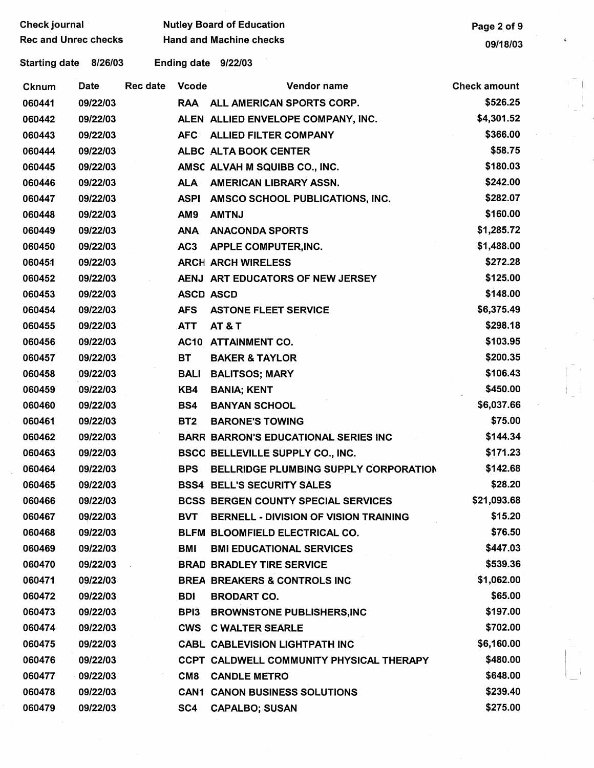| Check journal               |          |          |                 | <b>Nutley Board of Education</b>             | Page 2 of 9         |   |
|-----------------------------|----------|----------|-----------------|----------------------------------------------|---------------------|---|
| <b>Rec and Unrec checks</b> |          |          |                 | <b>Hand and Machine checks</b>               | 09/18/03            | ¢ |
| <b>Starting date</b>        | 8/26/03  |          |                 | Ending date 9/22/03                          |                     |   |
| <b>Cknum</b>                | Date     | Rec date | <b>Vcode</b>    | Vendor name                                  | <b>Check amount</b> |   |
| 060441                      | 09/22/03 |          |                 | RAA ALL AMERICAN SPORTS CORP.                | \$526.25            |   |
| 060442                      | 09/22/03 |          |                 | ALEN ALLIED ENVELOPE COMPANY, INC.           | \$4,301.52          |   |
| 060443                      | 09/22/03 |          | <b>AFC</b>      | <b>ALLIED FILTER COMPANY</b>                 | \$366.00            |   |
| 060444                      | 09/22/03 |          |                 | ALBC ALTA BOOK CENTER                        | \$58.75             |   |
| 060445                      | 09/22/03 |          |                 | AMSC ALVAH M SQUIBB CO., INC.                | \$180.03            |   |
| 060446                      | 09/22/03 |          | <b>ALA</b>      | AMERICAN LIBRARY ASSN.                       | \$242.00            |   |
| 060447                      | 09/22/03 |          | <b>ASPI</b>     | AMSCO SCHOOL PUBLICATIONS, INC.              | \$282.07            |   |
| 060448                      | 09/22/03 |          | AM9             | <b>AMTNJ</b>                                 | \$160.00            |   |
| 060449                      | 09/22/03 |          | <b>ANA</b>      | <b>ANACONDA SPORTS</b>                       | \$1,285.72          |   |
| 060450                      | 09/22/03 |          | AC <sub>3</sub> | APPLE COMPUTER, INC.                         | \$1,488.00          |   |
| 060451                      | 09/22/03 |          |                 | <b>ARCH ARCH WIRELESS</b>                    | \$272.28            |   |
| 060452                      | 09/22/03 |          |                 | AENJ ART EDUCATORS OF NEW JERSEY             | \$125.00            |   |
| 060453                      | 09/22/03 |          |                 | <b>ASCD ASCD</b>                             | \$148.00            |   |
| 060454                      | 09/22/03 |          | <b>AFS</b>      | <b>ASTONE FLEET SERVICE</b>                  | \$6,375.49          |   |
| 060455                      | 09/22/03 |          | <b>ATT</b>      | <b>AT &amp; T</b>                            | \$298.18            |   |
| 060456                      | 09/22/03 |          |                 | AC10 ATTAINMENT CO.                          | \$103.95            |   |
| 060457                      | 09/22/03 |          | <b>BT</b>       | <b>BAKER &amp; TAYLOR</b>                    | \$200.35            |   |
| 060458                      | 09/22/03 |          | <b>BALI</b>     | <b>BALITSOS; MARY</b>                        | \$106.43            |   |
| 060459                      | 09/22/03 |          | KB4             | <b>BANIA; KENT</b>                           | \$450.00            |   |
| 060460                      | 09/22/03 |          | BS4             | <b>BANYAN SCHOOL</b>                         | \$6,037.66          |   |
| 060461                      | 09/22/03 |          | <b>BT2</b>      | <b>BARONE'S TOWING</b>                       | \$75.00             |   |
| 060462                      | 09/22/03 |          |                 | <b>BARR BARRON'S EDUCATIONAL SERIES INC</b>  | \$144.34            |   |
| 060463                      | 09/22/03 |          |                 | BSCC BELLEVILLE SUPPLY CO., INC.             | \$171.23            |   |
| 060464                      | 09/22/03 |          | <b>BPS</b>      | BELLRIDGE PLUMBING SUPPLY CORPORATION        | \$142.68            |   |
| 060465                      | 09/22/03 |          |                 | <b>BSS4 BELL'S SECURITY SALES</b>            | \$28.20             |   |
| 060466                      | 09/22/03 |          |                 | <b>BCSS BERGEN COUNTY SPECIAL SERVICES</b>   | \$21,093.68         |   |
| 060467                      | 09/22/03 |          | <b>BVT</b>      | <b>BERNELL - DIVISION OF VISION TRAINING</b> | \$15.20             |   |
| 060468                      | 09/22/03 |          |                 | BLFM BLOOMFIELD ELECTRICAL CO.               | \$76.50             |   |
| 060469                      | 09/22/03 |          | BMI             | <b>BMI EDUCATIONAL SERVICES</b>              | \$447.03            |   |
| 060470                      | 09/22/03 |          |                 | <b>BRAD BRADLEY TIRE SERVICE</b>             | \$539.36            |   |
| 060471                      | 09/22/03 |          |                 | <b>BREA BREAKERS &amp; CONTROLS INC</b>      | \$1,062.00          |   |
| 060472                      | 09/22/03 |          | <b>BDI</b>      | <b>BRODART CO.</b>                           | \$65.00             |   |
| 060473                      | 09/22/03 |          | BPI3            | <b>BROWNSTONE PUBLISHERS, INC</b>            | \$197.00            |   |
| 060474                      | 09/22/03 |          | CWS             | <b>C WALTER SEARLE</b>                       | \$702.00            |   |
| 060475                      | 09/22/03 |          |                 | <b>CABL CABLEVISION LIGHTPATH INC</b>        | \$6,160.00          |   |
| 060476                      | 09/22/03 |          |                 | CCPT CALDWELL COMMUNITY PHYSICAL THERAPY     | \$480.00            |   |
| 060477                      | 09/22/03 |          | CM <sub>8</sub> | <b>CANDLE METRO</b>                          | \$648.00            |   |
| 060478                      | 09/22/03 |          |                 | <b>CAN1 CANON BUSINESS SOLUTIONS</b>         | \$239.40            |   |
| 060479                      | 09/22/03 |          | SC4             | <b>CAPALBO; SUSAN</b>                        | \$275.00            |   |
|                             |          |          |                 |                                              |                     |   |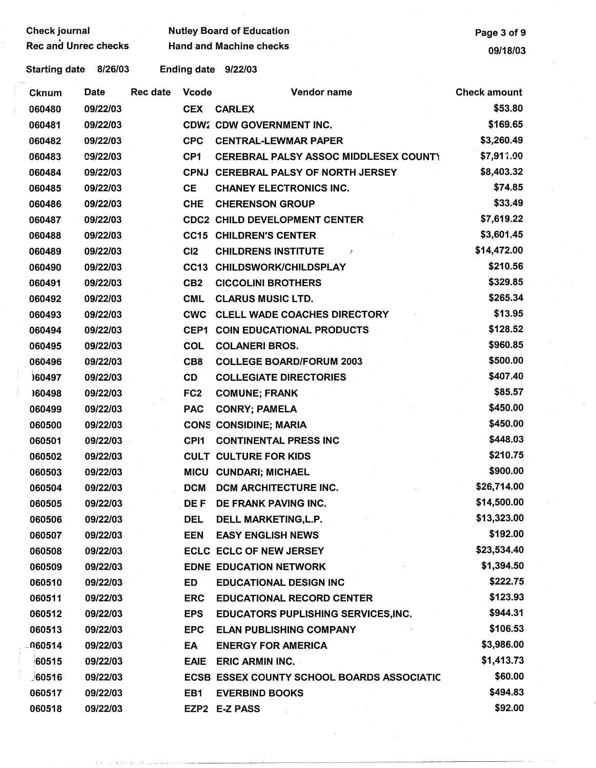Check journal Mutley Board of Education<br>Rec and Unrec checks Hand and Machine checks **Page 3 of 9** 

Rec and Machine checks and Machine checks and University of the University of the University of the University of the University of the University of the University of the University of the University of the University of

Starting date 8/26/03 Ending date 9/22/03

| <b>Cknum</b> | <b>Date</b> | Rec date | <b>Vcode</b>    | Vendor name                                       | <b>Check amount</b> |
|--------------|-------------|----------|-----------------|---------------------------------------------------|---------------------|
| 060480       | 09/22/03    |          | <b>CEX</b>      | <b>CARLEX</b>                                     | \$53.80             |
| 060481       | 09/22/03    |          |                 | <b>CDW2 CDW GOVERNMENT INC.</b>                   | \$169.65            |
| 060482       | 09/22/03    |          | <b>CPC</b>      | <b>CENTRAL-LEWMAR PAPER</b>                       | \$3,260.49          |
| 060483       | C9/22/03    |          | CP <sub>1</sub> | CEREBRAL PALSY ASSOC MIDDLESEX COUNTY             | \$7,911.00          |
| 060484       | 09/22/03    |          | <b>CPNJ</b>     | <b>CEREBRAL PALSY OF NORTH JERSEY</b>             | \$8,403.32          |
| 060485       | 09/22/03    |          | <b>CE</b>       | <b>CHANEY ELECTRONICS INC.</b>                    | \$74.85             |
| 060486       | 09/22/03    |          | <b>CHE</b>      | <b>CHERENSON GROUP</b>                            | \$33.49             |
| 060487       | 09/22/03    |          |                 | <b>CDC2 CHILD DEVELOPMENT CENTER</b>              | \$7,619.22          |
| 060488       | 09/22/03    |          | <b>CC15</b>     | <b>CHILDREN'S CENTER</b>                          | \$3,601.45          |
| 060489       | 09/22/03    |          | C <sub>12</sub> | <b>CHILDRENS INSTITUTE</b>                        | \$14,472.00         |
| 060490       | 09/22/03    |          | <b>CC13</b>     | <b>CHILDSWORK/CHILDSPLAY</b>                      | \$210.56            |
| 060491       | 09/22/03    |          | CB <sub>2</sub> | <b>CICCOLINI BROTHERS</b>                         | \$329.85            |
| 060492       | 09/22/03    |          | <b>CML</b>      | <b>CLARUS MUSIC LTD.</b>                          | \$265.34            |
| 060493       | 09/22/03    |          | <b>CWC</b>      | <b>CLELL WADE COACHES DIRECTORY</b>               | \$13.95             |
| 060494       | 09/22/03    |          | CEP1            | <b>COIN EDUCATIONAL PRODUCTS</b>                  | \$128.52            |
| 060495       | 09/22/03    |          | <b>COL</b>      | <b>COLANERI BROS.</b>                             | \$960.85            |
| 060496       | 09/22/03    |          | CB <sub>8</sub> | <b>COLLEGE BOARD/FORUM 2003</b>                   | \$500.00            |
| )60497       | 09/22/03    |          | CD              | <b>COLLEGIATE DIRECTORIES</b>                     | \$407.40            |
| 160498       | 09/22/03    |          | FC <sub>2</sub> | <b>COMUNE; FRANK</b>                              | \$85.57             |
| 060499       | 09/22/03    |          | <b>PAC</b>      | <b>CONRY; PAMELA</b>                              | \$450.00            |
| 060500       | 09/22/03    |          |                 | <b>CONS CONSIDINE; MARIA</b>                      | \$450.00            |
| 060501       | 09/22/03    |          | CPI1            | <b>CONTINENTAL PRESS INC</b>                      | \$448.03            |
| 060502       | 09/22/03    |          |                 | <b>CULT CULTURE FOR KIDS</b>                      | \$210.75            |
| 060503       | 09/22/03    |          |                 | MICU CUNDARI; MICHAEL                             | \$900.00            |
| 060504       | 09/22/03    |          |                 | <b>DCM DCM ARCHITECTURE INC.</b>                  | \$26,714.00         |
| 060505       | 09/22/03    |          | <b>DEF</b>      | DE FRANK PAVING INC.                              | \$14,500.00         |
| 060506       | 09/22/03    |          | <b>DEL</b>      | DELL MARKETING, L.P.                              | \$13,323.00         |
| 060507       | 09/22/03    |          | <b>EEN</b>      | <b>EASY ENGLISH NEWS</b>                          | \$192.00            |
| 060508       | 09/22/03    |          |                 | <b>ECLC ECLC OF NEW JERSEY</b>                    | \$23,534.40         |
| 060509       | 09/22/03    |          |                 | <b>EDNE EDUCATION NETWORK</b>                     | \$1,394.50          |
| 060510       | 09/22/03    |          | ED              | <b>EDUCATIONAL DESIGN INC</b>                     | \$222.75            |
| 060511       | 09/22/03    |          | <b>ERC</b>      | <b>EDUCATIONAL RECORD CENTER</b>                  | \$123.93            |
| 060512       | 09/22/03    |          | <b>EPS</b>      | <b>EDUCATORS PUPLISHING SERVICES, INC.</b>        | \$944.31            |
| 060513       | 09/22/03    |          | <b>EPC</b>      | <b>ELAN PUBLISHING COMPANY</b>                    | \$106.53            |
| 060514       | 09/22/03    |          | EA              | <b>ENERGY FOR AMERICA</b>                         | \$3,986.00          |
| 60515        | 09/22/03    |          | <b>EAIE</b>     | <b>ERIC ARMIN INC.</b>                            | \$1,413.73          |
| 160516       | 09/22/03    |          |                 | <b>ECSB ESSEX COUNTY SCHOOL BOARDS ASSOCIATIC</b> | \$60.00             |
| 060517       | 09/22/03    |          | EB1             | <b>EVERBIND BOOKS</b>                             | \$494.83            |
| 060518       | 09/22/03    |          |                 | EZP2 E-Z PASS                                     | \$92.00             |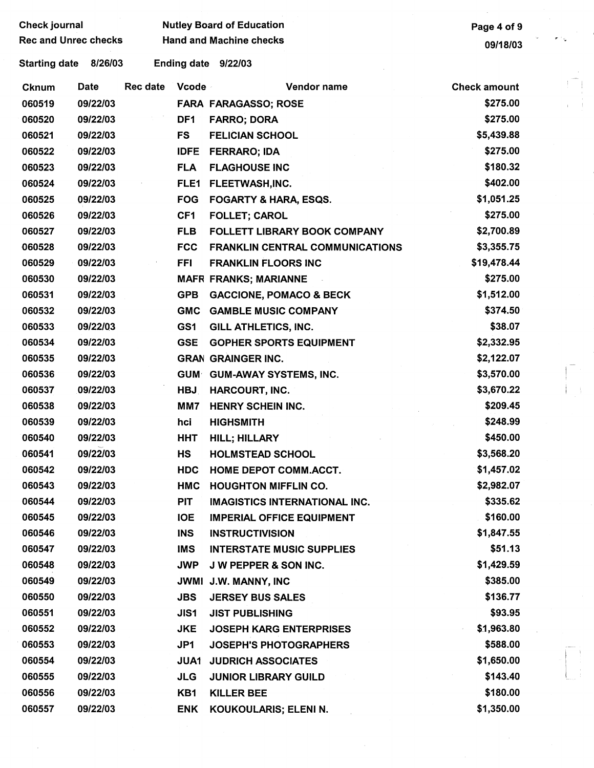| <b>Rec and Unrec checks</b><br>e i g<br><b>Hand and Machine checks</b><br>09/18/03<br><b>Starting date</b><br>8/26/03<br>Ending date 9/22/03<br><b>Rec date</b><br>Vcode<br>Date<br>Vendor name<br><b>Check amount</b><br><b>Cknum</b><br>060519<br>\$275.00<br>09/22/03<br><b>FARA FARAGASSO; ROSE</b><br>09/22/03<br>DF <sub>1</sub><br>\$275.00<br>060520<br><b>FARRO; DORA</b><br><b>FS</b><br>\$5,439.88<br>060521<br>09/22/03<br><b>FELICIAN SCHOOL</b><br>\$275.00<br>060522<br>09/22/03<br><b>IDFE</b><br><b>FERRARO; IDA</b><br>\$180.32<br><b>FLA</b><br>060523<br>09/22/03<br><b>FLAGHOUSE INC</b><br>\$402.00<br>060524<br>09/22/03<br>FLE1<br>FLEETWASH, INC.<br>\$1,051.25<br>060525<br>09/22/03<br><b>FOG</b><br><b>FOGARTY &amp; HARA, ESQS.</b><br>\$275.00<br>060526<br>09/22/03<br>CF <sub>1</sub><br><b>FOLLET; CAROL</b><br>\$2,700.89<br>060527<br>09/22/03<br><b>FLB</b><br><b>FOLLETT LIBRARY BOOK COMPANY</b><br>060528<br>09/22/03<br>\$3,355.75<br><b>FCC</b><br><b>FRANKLIN CENTRAL COMMUNICATIONS</b><br>060529<br>09/22/03<br><b>FFI</b><br>\$19,478.44<br><b>FRANKLIN FLOORS INC</b><br>\$275.00<br>060530<br>09/22/03<br><b>MAFR FRANKS; MARIANNE</b><br>060531<br><b>GPB</b><br>\$1,512.00<br>09/22/03<br><b>GACCIONE, POMACO &amp; BECK</b><br>060532<br>09/22/03<br>\$374.50<br><b>GMC</b><br><b>GAMBLE MUSIC COMPANY</b><br>\$38.07<br>GS1<br>060533<br>09/22/03<br><b>GILL ATHLETICS, INC.</b><br>060534<br>09/22/03<br><b>GSE</b><br>\$2,332.95<br><b>GOPHER SPORTS EQUIPMENT</b><br>060535<br>09/22/03<br>\$2,122.07<br><b>GRAN GRAINGER INC.</b><br>\$3,570.00<br>060536<br>09/22/03<br>GUM GUM-AWAY SYSTEMS, INC.<br>\$3,670.22<br>060537<br>09/22/03<br><b>HBJ</b><br><b>HARCOURT, INC.</b><br>\$209.45<br>060538<br>09/22/03<br>MM7<br><b>HENRY SCHEIN INC.</b><br>060539<br>09/22/03<br>\$248.99<br>hci<br><b>HIGHSMITH</b><br>\$450.00<br>060540<br>09/22/03<br><b>HHT</b><br><b>HILL; HILLARY</b><br>09/22/03<br>\$3,568.20<br>060541<br><b>HS</b><br><b>HOLMSTEAD SCHOOL</b><br>060542<br>09/22/03<br><b>HDC</b><br>\$1,457.02<br><b>HOME DEPOT COMM.ACCT.</b><br>\$2,982.07<br>060543<br>09/22/03<br><b>HMC</b><br><b>HOUGHTON MIFFLIN CO.</b><br>\$335.62<br>060544<br>09/22/03<br><b>PIT</b><br><b>IMAGISTICS INTERNATIONAL INC.</b><br>\$160.00<br>060545<br>09/22/03<br><b>IOE</b><br><b>IMPERIAL OFFICE EQUIPMENT</b><br>\$1,847.55<br>060546<br>09/22/03<br><b>INS</b><br><b>INSTRUCTIVISION</b><br>\$51.13<br>060547<br>09/22/03<br><b>IMS</b><br><b>INTERSTATE MUSIC SUPPLIES</b><br>\$1,429.59<br>060548<br>09/22/03<br><b>JWP</b><br><b>J W PEPPER &amp; SON INC.</b><br>\$385.00<br>060549<br>09/22/03<br>JWMI J.W. MANNY, INC<br>\$136.77<br>060550<br>09/22/03<br><b>JBS</b><br><b>JERSEY BUS SALES</b><br>060551<br>09/22/03<br>\$93.95<br>JIS1<br><b>JIST PUBLISHING</b><br>060552<br>\$1,963.80<br>09/22/03<br><b>JKE</b><br><b>JOSEPH KARG ENTERPRISES</b><br>\$588.00<br>060553<br>09/22/03<br>JP1<br><b>JOSEPH'S PHOTOGRAPHERS</b><br>\$1,650.00<br>060554<br>09/22/03<br><b>JUA1</b><br><b>JUDRICH ASSOCIATES</b><br>\$143.40<br>060555<br>09/22/03<br><b>JLG</b><br><b>JUNIOR LIBRARY GUILD</b><br>\$180.00<br>060556<br>09/22/03<br>KB1<br><b>KILLER BEE</b><br>\$1,350.00<br>060557<br>09/22/03<br><b>ENK</b><br>KOUKOULARIS; ELENI N. | Check journal |  |  | <b>Nutley Board of Education</b> | Page 4 of 9 |  |
|---------------------------------------------------------------------------------------------------------------------------------------------------------------------------------------------------------------------------------------------------------------------------------------------------------------------------------------------------------------------------------------------------------------------------------------------------------------------------------------------------------------------------------------------------------------------------------------------------------------------------------------------------------------------------------------------------------------------------------------------------------------------------------------------------------------------------------------------------------------------------------------------------------------------------------------------------------------------------------------------------------------------------------------------------------------------------------------------------------------------------------------------------------------------------------------------------------------------------------------------------------------------------------------------------------------------------------------------------------------------------------------------------------------------------------------------------------------------------------------------------------------------------------------------------------------------------------------------------------------------------------------------------------------------------------------------------------------------------------------------------------------------------------------------------------------------------------------------------------------------------------------------------------------------------------------------------------------------------------------------------------------------------------------------------------------------------------------------------------------------------------------------------------------------------------------------------------------------------------------------------------------------------------------------------------------------------------------------------------------------------------------------------------------------------------------------------------------------------------------------------------------------------------------------------------------------------------------------------------------------------------------------------------------------------------------------------------------------------------------------------------------------------------------------------------------------------------------------------------------------------------------------------------------------------------------------------------------------------------------------------------------------------------------------------------------------------------------------------------------------------------------------------------------------------------------------------------------------------------------------------------------------------------------------------------------|---------------|--|--|----------------------------------|-------------|--|
|                                                                                                                                                                                                                                                                                                                                                                                                                                                                                                                                                                                                                                                                                                                                                                                                                                                                                                                                                                                                                                                                                                                                                                                                                                                                                                                                                                                                                                                                                                                                                                                                                                                                                                                                                                                                                                                                                                                                                                                                                                                                                                                                                                                                                                                                                                                                                                                                                                                                                                                                                                                                                                                                                                                                                                                                                                                                                                                                                                                                                                                                                                                                                                                                                                                                                                               |               |  |  |                                  |             |  |
|                                                                                                                                                                                                                                                                                                                                                                                                                                                                                                                                                                                                                                                                                                                                                                                                                                                                                                                                                                                                                                                                                                                                                                                                                                                                                                                                                                                                                                                                                                                                                                                                                                                                                                                                                                                                                                                                                                                                                                                                                                                                                                                                                                                                                                                                                                                                                                                                                                                                                                                                                                                                                                                                                                                                                                                                                                                                                                                                                                                                                                                                                                                                                                                                                                                                                                               |               |  |  |                                  |             |  |
|                                                                                                                                                                                                                                                                                                                                                                                                                                                                                                                                                                                                                                                                                                                                                                                                                                                                                                                                                                                                                                                                                                                                                                                                                                                                                                                                                                                                                                                                                                                                                                                                                                                                                                                                                                                                                                                                                                                                                                                                                                                                                                                                                                                                                                                                                                                                                                                                                                                                                                                                                                                                                                                                                                                                                                                                                                                                                                                                                                                                                                                                                                                                                                                                                                                                                                               |               |  |  |                                  |             |  |
|                                                                                                                                                                                                                                                                                                                                                                                                                                                                                                                                                                                                                                                                                                                                                                                                                                                                                                                                                                                                                                                                                                                                                                                                                                                                                                                                                                                                                                                                                                                                                                                                                                                                                                                                                                                                                                                                                                                                                                                                                                                                                                                                                                                                                                                                                                                                                                                                                                                                                                                                                                                                                                                                                                                                                                                                                                                                                                                                                                                                                                                                                                                                                                                                                                                                                                               |               |  |  |                                  |             |  |
|                                                                                                                                                                                                                                                                                                                                                                                                                                                                                                                                                                                                                                                                                                                                                                                                                                                                                                                                                                                                                                                                                                                                                                                                                                                                                                                                                                                                                                                                                                                                                                                                                                                                                                                                                                                                                                                                                                                                                                                                                                                                                                                                                                                                                                                                                                                                                                                                                                                                                                                                                                                                                                                                                                                                                                                                                                                                                                                                                                                                                                                                                                                                                                                                                                                                                                               |               |  |  |                                  |             |  |
|                                                                                                                                                                                                                                                                                                                                                                                                                                                                                                                                                                                                                                                                                                                                                                                                                                                                                                                                                                                                                                                                                                                                                                                                                                                                                                                                                                                                                                                                                                                                                                                                                                                                                                                                                                                                                                                                                                                                                                                                                                                                                                                                                                                                                                                                                                                                                                                                                                                                                                                                                                                                                                                                                                                                                                                                                                                                                                                                                                                                                                                                                                                                                                                                                                                                                                               |               |  |  |                                  |             |  |
|                                                                                                                                                                                                                                                                                                                                                                                                                                                                                                                                                                                                                                                                                                                                                                                                                                                                                                                                                                                                                                                                                                                                                                                                                                                                                                                                                                                                                                                                                                                                                                                                                                                                                                                                                                                                                                                                                                                                                                                                                                                                                                                                                                                                                                                                                                                                                                                                                                                                                                                                                                                                                                                                                                                                                                                                                                                                                                                                                                                                                                                                                                                                                                                                                                                                                                               |               |  |  |                                  |             |  |
|                                                                                                                                                                                                                                                                                                                                                                                                                                                                                                                                                                                                                                                                                                                                                                                                                                                                                                                                                                                                                                                                                                                                                                                                                                                                                                                                                                                                                                                                                                                                                                                                                                                                                                                                                                                                                                                                                                                                                                                                                                                                                                                                                                                                                                                                                                                                                                                                                                                                                                                                                                                                                                                                                                                                                                                                                                                                                                                                                                                                                                                                                                                                                                                                                                                                                                               |               |  |  |                                  |             |  |
|                                                                                                                                                                                                                                                                                                                                                                                                                                                                                                                                                                                                                                                                                                                                                                                                                                                                                                                                                                                                                                                                                                                                                                                                                                                                                                                                                                                                                                                                                                                                                                                                                                                                                                                                                                                                                                                                                                                                                                                                                                                                                                                                                                                                                                                                                                                                                                                                                                                                                                                                                                                                                                                                                                                                                                                                                                                                                                                                                                                                                                                                                                                                                                                                                                                                                                               |               |  |  |                                  |             |  |
|                                                                                                                                                                                                                                                                                                                                                                                                                                                                                                                                                                                                                                                                                                                                                                                                                                                                                                                                                                                                                                                                                                                                                                                                                                                                                                                                                                                                                                                                                                                                                                                                                                                                                                                                                                                                                                                                                                                                                                                                                                                                                                                                                                                                                                                                                                                                                                                                                                                                                                                                                                                                                                                                                                                                                                                                                                                                                                                                                                                                                                                                                                                                                                                                                                                                                                               |               |  |  |                                  |             |  |
|                                                                                                                                                                                                                                                                                                                                                                                                                                                                                                                                                                                                                                                                                                                                                                                                                                                                                                                                                                                                                                                                                                                                                                                                                                                                                                                                                                                                                                                                                                                                                                                                                                                                                                                                                                                                                                                                                                                                                                                                                                                                                                                                                                                                                                                                                                                                                                                                                                                                                                                                                                                                                                                                                                                                                                                                                                                                                                                                                                                                                                                                                                                                                                                                                                                                                                               |               |  |  |                                  |             |  |
|                                                                                                                                                                                                                                                                                                                                                                                                                                                                                                                                                                                                                                                                                                                                                                                                                                                                                                                                                                                                                                                                                                                                                                                                                                                                                                                                                                                                                                                                                                                                                                                                                                                                                                                                                                                                                                                                                                                                                                                                                                                                                                                                                                                                                                                                                                                                                                                                                                                                                                                                                                                                                                                                                                                                                                                                                                                                                                                                                                                                                                                                                                                                                                                                                                                                                                               |               |  |  |                                  |             |  |
|                                                                                                                                                                                                                                                                                                                                                                                                                                                                                                                                                                                                                                                                                                                                                                                                                                                                                                                                                                                                                                                                                                                                                                                                                                                                                                                                                                                                                                                                                                                                                                                                                                                                                                                                                                                                                                                                                                                                                                                                                                                                                                                                                                                                                                                                                                                                                                                                                                                                                                                                                                                                                                                                                                                                                                                                                                                                                                                                                                                                                                                                                                                                                                                                                                                                                                               |               |  |  |                                  |             |  |
|                                                                                                                                                                                                                                                                                                                                                                                                                                                                                                                                                                                                                                                                                                                                                                                                                                                                                                                                                                                                                                                                                                                                                                                                                                                                                                                                                                                                                                                                                                                                                                                                                                                                                                                                                                                                                                                                                                                                                                                                                                                                                                                                                                                                                                                                                                                                                                                                                                                                                                                                                                                                                                                                                                                                                                                                                                                                                                                                                                                                                                                                                                                                                                                                                                                                                                               |               |  |  |                                  |             |  |
|                                                                                                                                                                                                                                                                                                                                                                                                                                                                                                                                                                                                                                                                                                                                                                                                                                                                                                                                                                                                                                                                                                                                                                                                                                                                                                                                                                                                                                                                                                                                                                                                                                                                                                                                                                                                                                                                                                                                                                                                                                                                                                                                                                                                                                                                                                                                                                                                                                                                                                                                                                                                                                                                                                                                                                                                                                                                                                                                                                                                                                                                                                                                                                                                                                                                                                               |               |  |  |                                  |             |  |
|                                                                                                                                                                                                                                                                                                                                                                                                                                                                                                                                                                                                                                                                                                                                                                                                                                                                                                                                                                                                                                                                                                                                                                                                                                                                                                                                                                                                                                                                                                                                                                                                                                                                                                                                                                                                                                                                                                                                                                                                                                                                                                                                                                                                                                                                                                                                                                                                                                                                                                                                                                                                                                                                                                                                                                                                                                                                                                                                                                                                                                                                                                                                                                                                                                                                                                               |               |  |  |                                  |             |  |
|                                                                                                                                                                                                                                                                                                                                                                                                                                                                                                                                                                                                                                                                                                                                                                                                                                                                                                                                                                                                                                                                                                                                                                                                                                                                                                                                                                                                                                                                                                                                                                                                                                                                                                                                                                                                                                                                                                                                                                                                                                                                                                                                                                                                                                                                                                                                                                                                                                                                                                                                                                                                                                                                                                                                                                                                                                                                                                                                                                                                                                                                                                                                                                                                                                                                                                               |               |  |  |                                  |             |  |
|                                                                                                                                                                                                                                                                                                                                                                                                                                                                                                                                                                                                                                                                                                                                                                                                                                                                                                                                                                                                                                                                                                                                                                                                                                                                                                                                                                                                                                                                                                                                                                                                                                                                                                                                                                                                                                                                                                                                                                                                                                                                                                                                                                                                                                                                                                                                                                                                                                                                                                                                                                                                                                                                                                                                                                                                                                                                                                                                                                                                                                                                                                                                                                                                                                                                                                               |               |  |  |                                  |             |  |
|                                                                                                                                                                                                                                                                                                                                                                                                                                                                                                                                                                                                                                                                                                                                                                                                                                                                                                                                                                                                                                                                                                                                                                                                                                                                                                                                                                                                                                                                                                                                                                                                                                                                                                                                                                                                                                                                                                                                                                                                                                                                                                                                                                                                                                                                                                                                                                                                                                                                                                                                                                                                                                                                                                                                                                                                                                                                                                                                                                                                                                                                                                                                                                                                                                                                                                               |               |  |  |                                  |             |  |
|                                                                                                                                                                                                                                                                                                                                                                                                                                                                                                                                                                                                                                                                                                                                                                                                                                                                                                                                                                                                                                                                                                                                                                                                                                                                                                                                                                                                                                                                                                                                                                                                                                                                                                                                                                                                                                                                                                                                                                                                                                                                                                                                                                                                                                                                                                                                                                                                                                                                                                                                                                                                                                                                                                                                                                                                                                                                                                                                                                                                                                                                                                                                                                                                                                                                                                               |               |  |  |                                  |             |  |
|                                                                                                                                                                                                                                                                                                                                                                                                                                                                                                                                                                                                                                                                                                                                                                                                                                                                                                                                                                                                                                                                                                                                                                                                                                                                                                                                                                                                                                                                                                                                                                                                                                                                                                                                                                                                                                                                                                                                                                                                                                                                                                                                                                                                                                                                                                                                                                                                                                                                                                                                                                                                                                                                                                                                                                                                                                                                                                                                                                                                                                                                                                                                                                                                                                                                                                               |               |  |  |                                  |             |  |
|                                                                                                                                                                                                                                                                                                                                                                                                                                                                                                                                                                                                                                                                                                                                                                                                                                                                                                                                                                                                                                                                                                                                                                                                                                                                                                                                                                                                                                                                                                                                                                                                                                                                                                                                                                                                                                                                                                                                                                                                                                                                                                                                                                                                                                                                                                                                                                                                                                                                                                                                                                                                                                                                                                                                                                                                                                                                                                                                                                                                                                                                                                                                                                                                                                                                                                               |               |  |  |                                  |             |  |
|                                                                                                                                                                                                                                                                                                                                                                                                                                                                                                                                                                                                                                                                                                                                                                                                                                                                                                                                                                                                                                                                                                                                                                                                                                                                                                                                                                                                                                                                                                                                                                                                                                                                                                                                                                                                                                                                                                                                                                                                                                                                                                                                                                                                                                                                                                                                                                                                                                                                                                                                                                                                                                                                                                                                                                                                                                                                                                                                                                                                                                                                                                                                                                                                                                                                                                               |               |  |  |                                  |             |  |
|                                                                                                                                                                                                                                                                                                                                                                                                                                                                                                                                                                                                                                                                                                                                                                                                                                                                                                                                                                                                                                                                                                                                                                                                                                                                                                                                                                                                                                                                                                                                                                                                                                                                                                                                                                                                                                                                                                                                                                                                                                                                                                                                                                                                                                                                                                                                                                                                                                                                                                                                                                                                                                                                                                                                                                                                                                                                                                                                                                                                                                                                                                                                                                                                                                                                                                               |               |  |  |                                  |             |  |
|                                                                                                                                                                                                                                                                                                                                                                                                                                                                                                                                                                                                                                                                                                                                                                                                                                                                                                                                                                                                                                                                                                                                                                                                                                                                                                                                                                                                                                                                                                                                                                                                                                                                                                                                                                                                                                                                                                                                                                                                                                                                                                                                                                                                                                                                                                                                                                                                                                                                                                                                                                                                                                                                                                                                                                                                                                                                                                                                                                                                                                                                                                                                                                                                                                                                                                               |               |  |  |                                  |             |  |
|                                                                                                                                                                                                                                                                                                                                                                                                                                                                                                                                                                                                                                                                                                                                                                                                                                                                                                                                                                                                                                                                                                                                                                                                                                                                                                                                                                                                                                                                                                                                                                                                                                                                                                                                                                                                                                                                                                                                                                                                                                                                                                                                                                                                                                                                                                                                                                                                                                                                                                                                                                                                                                                                                                                                                                                                                                                                                                                                                                                                                                                                                                                                                                                                                                                                                                               |               |  |  |                                  |             |  |
|                                                                                                                                                                                                                                                                                                                                                                                                                                                                                                                                                                                                                                                                                                                                                                                                                                                                                                                                                                                                                                                                                                                                                                                                                                                                                                                                                                                                                                                                                                                                                                                                                                                                                                                                                                                                                                                                                                                                                                                                                                                                                                                                                                                                                                                                                                                                                                                                                                                                                                                                                                                                                                                                                                                                                                                                                                                                                                                                                                                                                                                                                                                                                                                                                                                                                                               |               |  |  |                                  |             |  |
|                                                                                                                                                                                                                                                                                                                                                                                                                                                                                                                                                                                                                                                                                                                                                                                                                                                                                                                                                                                                                                                                                                                                                                                                                                                                                                                                                                                                                                                                                                                                                                                                                                                                                                                                                                                                                                                                                                                                                                                                                                                                                                                                                                                                                                                                                                                                                                                                                                                                                                                                                                                                                                                                                                                                                                                                                                                                                                                                                                                                                                                                                                                                                                                                                                                                                                               |               |  |  |                                  |             |  |
|                                                                                                                                                                                                                                                                                                                                                                                                                                                                                                                                                                                                                                                                                                                                                                                                                                                                                                                                                                                                                                                                                                                                                                                                                                                                                                                                                                                                                                                                                                                                                                                                                                                                                                                                                                                                                                                                                                                                                                                                                                                                                                                                                                                                                                                                                                                                                                                                                                                                                                                                                                                                                                                                                                                                                                                                                                                                                                                                                                                                                                                                                                                                                                                                                                                                                                               |               |  |  |                                  |             |  |
|                                                                                                                                                                                                                                                                                                                                                                                                                                                                                                                                                                                                                                                                                                                                                                                                                                                                                                                                                                                                                                                                                                                                                                                                                                                                                                                                                                                                                                                                                                                                                                                                                                                                                                                                                                                                                                                                                                                                                                                                                                                                                                                                                                                                                                                                                                                                                                                                                                                                                                                                                                                                                                                                                                                                                                                                                                                                                                                                                                                                                                                                                                                                                                                                                                                                                                               |               |  |  |                                  |             |  |
|                                                                                                                                                                                                                                                                                                                                                                                                                                                                                                                                                                                                                                                                                                                                                                                                                                                                                                                                                                                                                                                                                                                                                                                                                                                                                                                                                                                                                                                                                                                                                                                                                                                                                                                                                                                                                                                                                                                                                                                                                                                                                                                                                                                                                                                                                                                                                                                                                                                                                                                                                                                                                                                                                                                                                                                                                                                                                                                                                                                                                                                                                                                                                                                                                                                                                                               |               |  |  |                                  |             |  |
|                                                                                                                                                                                                                                                                                                                                                                                                                                                                                                                                                                                                                                                                                                                                                                                                                                                                                                                                                                                                                                                                                                                                                                                                                                                                                                                                                                                                                                                                                                                                                                                                                                                                                                                                                                                                                                                                                                                                                                                                                                                                                                                                                                                                                                                                                                                                                                                                                                                                                                                                                                                                                                                                                                                                                                                                                                                                                                                                                                                                                                                                                                                                                                                                                                                                                                               |               |  |  |                                  |             |  |
|                                                                                                                                                                                                                                                                                                                                                                                                                                                                                                                                                                                                                                                                                                                                                                                                                                                                                                                                                                                                                                                                                                                                                                                                                                                                                                                                                                                                                                                                                                                                                                                                                                                                                                                                                                                                                                                                                                                                                                                                                                                                                                                                                                                                                                                                                                                                                                                                                                                                                                                                                                                                                                                                                                                                                                                                                                                                                                                                                                                                                                                                                                                                                                                                                                                                                                               |               |  |  |                                  |             |  |
|                                                                                                                                                                                                                                                                                                                                                                                                                                                                                                                                                                                                                                                                                                                                                                                                                                                                                                                                                                                                                                                                                                                                                                                                                                                                                                                                                                                                                                                                                                                                                                                                                                                                                                                                                                                                                                                                                                                                                                                                                                                                                                                                                                                                                                                                                                                                                                                                                                                                                                                                                                                                                                                                                                                                                                                                                                                                                                                                                                                                                                                                                                                                                                                                                                                                                                               |               |  |  |                                  |             |  |
|                                                                                                                                                                                                                                                                                                                                                                                                                                                                                                                                                                                                                                                                                                                                                                                                                                                                                                                                                                                                                                                                                                                                                                                                                                                                                                                                                                                                                                                                                                                                                                                                                                                                                                                                                                                                                                                                                                                                                                                                                                                                                                                                                                                                                                                                                                                                                                                                                                                                                                                                                                                                                                                                                                                                                                                                                                                                                                                                                                                                                                                                                                                                                                                                                                                                                                               |               |  |  |                                  |             |  |
|                                                                                                                                                                                                                                                                                                                                                                                                                                                                                                                                                                                                                                                                                                                                                                                                                                                                                                                                                                                                                                                                                                                                                                                                                                                                                                                                                                                                                                                                                                                                                                                                                                                                                                                                                                                                                                                                                                                                                                                                                                                                                                                                                                                                                                                                                                                                                                                                                                                                                                                                                                                                                                                                                                                                                                                                                                                                                                                                                                                                                                                                                                                                                                                                                                                                                                               |               |  |  |                                  |             |  |
|                                                                                                                                                                                                                                                                                                                                                                                                                                                                                                                                                                                                                                                                                                                                                                                                                                                                                                                                                                                                                                                                                                                                                                                                                                                                                                                                                                                                                                                                                                                                                                                                                                                                                                                                                                                                                                                                                                                                                                                                                                                                                                                                                                                                                                                                                                                                                                                                                                                                                                                                                                                                                                                                                                                                                                                                                                                                                                                                                                                                                                                                                                                                                                                                                                                                                                               |               |  |  |                                  |             |  |
|                                                                                                                                                                                                                                                                                                                                                                                                                                                                                                                                                                                                                                                                                                                                                                                                                                                                                                                                                                                                                                                                                                                                                                                                                                                                                                                                                                                                                                                                                                                                                                                                                                                                                                                                                                                                                                                                                                                                                                                                                                                                                                                                                                                                                                                                                                                                                                                                                                                                                                                                                                                                                                                                                                                                                                                                                                                                                                                                                                                                                                                                                                                                                                                                                                                                                                               |               |  |  |                                  |             |  |
|                                                                                                                                                                                                                                                                                                                                                                                                                                                                                                                                                                                                                                                                                                                                                                                                                                                                                                                                                                                                                                                                                                                                                                                                                                                                                                                                                                                                                                                                                                                                                                                                                                                                                                                                                                                                                                                                                                                                                                                                                                                                                                                                                                                                                                                                                                                                                                                                                                                                                                                                                                                                                                                                                                                                                                                                                                                                                                                                                                                                                                                                                                                                                                                                                                                                                                               |               |  |  |                                  |             |  |
|                                                                                                                                                                                                                                                                                                                                                                                                                                                                                                                                                                                                                                                                                                                                                                                                                                                                                                                                                                                                                                                                                                                                                                                                                                                                                                                                                                                                                                                                                                                                                                                                                                                                                                                                                                                                                                                                                                                                                                                                                                                                                                                                                                                                                                                                                                                                                                                                                                                                                                                                                                                                                                                                                                                                                                                                                                                                                                                                                                                                                                                                                                                                                                                                                                                                                                               |               |  |  |                                  |             |  |
|                                                                                                                                                                                                                                                                                                                                                                                                                                                                                                                                                                                                                                                                                                                                                                                                                                                                                                                                                                                                                                                                                                                                                                                                                                                                                                                                                                                                                                                                                                                                                                                                                                                                                                                                                                                                                                                                                                                                                                                                                                                                                                                                                                                                                                                                                                                                                                                                                                                                                                                                                                                                                                                                                                                                                                                                                                                                                                                                                                                                                                                                                                                                                                                                                                                                                                               |               |  |  |                                  |             |  |
|                                                                                                                                                                                                                                                                                                                                                                                                                                                                                                                                                                                                                                                                                                                                                                                                                                                                                                                                                                                                                                                                                                                                                                                                                                                                                                                                                                                                                                                                                                                                                                                                                                                                                                                                                                                                                                                                                                                                                                                                                                                                                                                                                                                                                                                                                                                                                                                                                                                                                                                                                                                                                                                                                                                                                                                                                                                                                                                                                                                                                                                                                                                                                                                                                                                                                                               |               |  |  |                                  |             |  |

 $\mathbf{I}$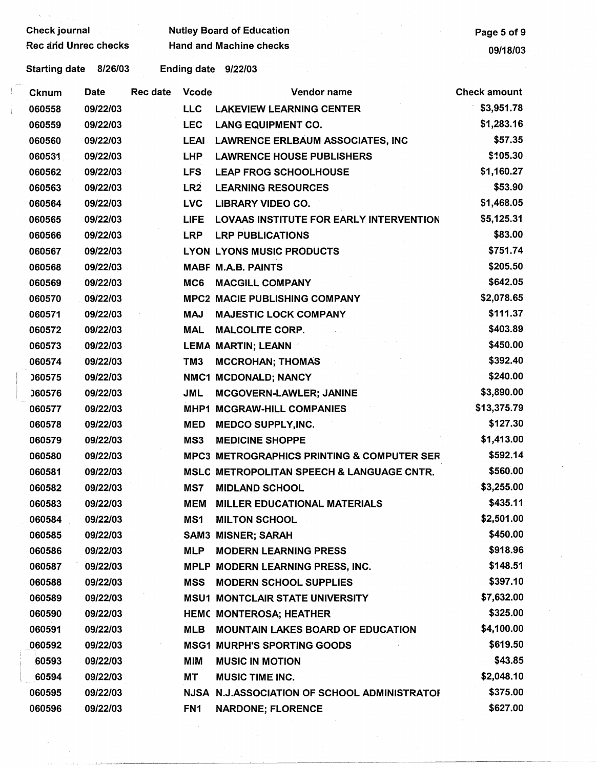| <b>Check journal</b>                                   |          |                 |                 | <b>Nutley Board of Education</b>                      | Page 5 of 9         |  |  |  |  |
|--------------------------------------------------------|----------|-----------------|-----------------|-------------------------------------------------------|---------------------|--|--|--|--|
| Rec and Unrec checks                                   |          |                 |                 | <b>Hand and Machine checks</b>                        | 09/18/03            |  |  |  |  |
| 8/26/03<br>Ending date 9/22/03<br><b>Starting date</b> |          |                 |                 |                                                       |                     |  |  |  |  |
| <b>Cknum</b>                                           | Date     | <b>Rec date</b> | <b>Vcode</b>    | Vendor name                                           | <b>Check amount</b> |  |  |  |  |
| 060558                                                 | 09/22/03 |                 | <b>LLC</b>      | <b>LAKEVIEW LEARNING CENTER</b>                       | \$3,951.78          |  |  |  |  |
| 060559                                                 | 09/22/03 |                 | <b>LEC</b>      | <b>LANG EQUIPMENT CO.</b>                             | \$1,283.16          |  |  |  |  |
| 060560                                                 | 09/22/03 |                 | <b>LEAI</b>     | <b>LAWRENCE ERLBAUM ASSOCIATES, INC</b>               | \$57.35             |  |  |  |  |
| 060531                                                 | 09/22/03 |                 | <b>LHP</b>      | <b>LAWRENCE HOUSE PUBLISHERS</b>                      | \$105.30            |  |  |  |  |
| 060562                                                 | 09/22/03 |                 | <b>LFS</b>      | <b>LEAP FROG SCHOOLHOUSE</b>                          | \$1,160.27          |  |  |  |  |
| 060563                                                 | 09/22/03 |                 | LR <sub>2</sub> | <b>LEARNING RESOURCES</b>                             | \$53.90             |  |  |  |  |
| 060564                                                 | 09/22/03 |                 | <b>LVC</b>      | <b>LIBRARY VIDEO CO.</b>                              | \$1,468.05          |  |  |  |  |
| 060565                                                 | 09/22/03 |                 | <b>LIFE</b>     | LOVAAS INSTITUTE FOR EARLY INTERVENTION               | \$5,125.31          |  |  |  |  |
| 060566                                                 | 09/22/03 |                 | <b>LRP</b>      | <b>LRP PUBLICATIONS</b>                               | \$83.00             |  |  |  |  |
| 060567                                                 | 09/22/03 |                 |                 | <b>LYON LYONS MUSIC PRODUCTS</b>                      | \$751.74            |  |  |  |  |
| 060568                                                 | 09/22/03 |                 |                 | <b>MABF M.A.B. PAINTS</b>                             | \$205.50            |  |  |  |  |
| 060569                                                 | 09/22/03 |                 | MC6             | <b>MACGILL COMPANY</b>                                | \$642.05            |  |  |  |  |
| 060570                                                 | 09/22/03 |                 |                 | <b>MPC2 MACIE PUBLISHING COMPANY</b>                  | \$2,078.65          |  |  |  |  |
| 060571                                                 | 09/22/03 |                 | <b>MAJ</b>      | <b>MAJESTIC LOCK COMPANY</b>                          | \$111.37            |  |  |  |  |
| 060572                                                 | 09/22/03 |                 | <b>MAL</b>      | <b>MALCOLITE CORP.</b>                                | \$403.89            |  |  |  |  |
| 060573                                                 | 09/22/03 |                 |                 | <b>LEMA MARTIN; LEANN</b>                             | \$450.00            |  |  |  |  |
| 060574                                                 | 09/22/03 |                 | TM <sub>3</sub> | <b>MCCROHAN; THOMAS</b>                               | \$392.40            |  |  |  |  |
| 060575                                                 | 09/22/03 |                 |                 | NMC1 MCDONALD; NANCY                                  | \$240.00            |  |  |  |  |
| 060576                                                 | 09/22/03 |                 | <b>JML</b>      | MCGOVERN-LAWLER; JANINE                               | \$3,890.00          |  |  |  |  |
| 060577                                                 | 09/22/03 |                 | MHP1            | <b>MCGRAW-HILL COMPANIES</b>                          | \$13,375.79         |  |  |  |  |
| 060578                                                 | 09/22/03 |                 | <b>MED</b>      | <b>MEDCO SUPPLY, INC.</b>                             | \$127.30            |  |  |  |  |
| 060579                                                 | 09/22/03 |                 | MS3             | <b>MEDICINE SHOPPE</b>                                | \$1,413.00          |  |  |  |  |
| 060580                                                 | 09/22/03 |                 |                 | <b>MPC3 METROGRAPHICS PRINTING &amp; COMPUTER SER</b> | \$592.14            |  |  |  |  |
| 060581                                                 | 09/22/03 |                 |                 | MSLC METROPOLITAN SPEECH & LANGUAGE CNTR.             | \$560.00            |  |  |  |  |
| 060582                                                 | 09/22/03 |                 | MS7             | <b>MIDLAND SCHOOL</b>                                 | \$3,255.00          |  |  |  |  |
| 060583                                                 | 09/22/03 |                 | MEM             | <b>MILLER EDUCATIONAL MATERIALS</b>                   | \$435.11            |  |  |  |  |
| 060584                                                 | 09/22/03 |                 | MS1             | <b>MILTON SCHOOL</b>                                  | \$2,501.00          |  |  |  |  |
| 060585                                                 | 09/22/03 |                 |                 | <b>SAM3 MISNER; SARAH</b>                             | \$450.00            |  |  |  |  |
| 060586                                                 | 09/22/03 |                 | <b>MLP</b>      | <b>MODERN LEARNING PRESS</b>                          | \$918.96            |  |  |  |  |
| 060587                                                 | 09/22/03 |                 |                 | MPLP MODERN LEARNING PRESS, INC.                      | \$148.51            |  |  |  |  |
| 060588                                                 | 09/22/03 |                 | <b>MSS</b>      | <b>MODERN SCHOOL SUPPLIES</b>                         | \$397.10            |  |  |  |  |
| 060589                                                 | 09/22/03 |                 |                 | <b>MSU1 MONTCLAIR STATE UNIVERSITY</b>                | \$7,632.00          |  |  |  |  |
| 060590                                                 | 09/22/03 |                 |                 | <b>HEMC MONTEROSA; HEATHER</b>                        | \$325.00            |  |  |  |  |
| 060591                                                 | 09/22/03 |                 | <b>MLB</b>      | <b>MOUNTAIN LAKES BOARD OF EDUCATION</b>              | \$4,100.00          |  |  |  |  |
| 060592                                                 | 09/22/03 |                 |                 | <b>MSG1 MURPH'S SPORTING GOODS</b>                    | \$619.50            |  |  |  |  |
| 60593                                                  | 09/22/03 |                 | <b>MIM</b>      | <b>MUSIC IN MOTION</b>                                | \$43.85             |  |  |  |  |
| 60594                                                  | 09/22/03 |                 | MT              | <b>MUSIC TIME INC.</b>                                | \$2,048.10          |  |  |  |  |
| 060595                                                 | 09/22/03 |                 |                 | NJSA N.J.ASSOCIATION OF SCHOOL ADMINISTRATOI          | \$375.00            |  |  |  |  |
| 060596                                                 | 09/22/03 |                 | FN <sub>1</sub> | <b>NARDONE; FLORENCE</b>                              | \$627.00            |  |  |  |  |

 $\mathcal{L}_{\mathcal{A}}$ 

 $\int_0^\infty$ 

 $\big\}$  .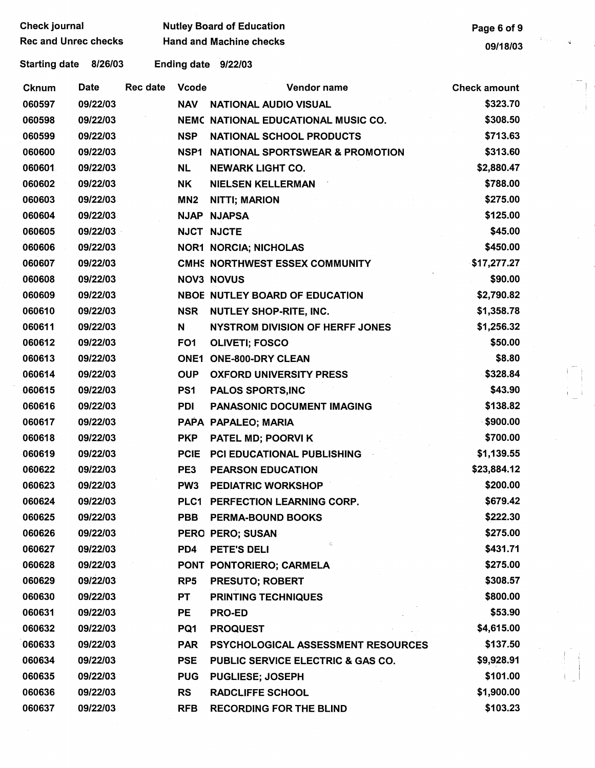| <b>Check journal</b>        |             |          |                 | <b>Nutley Board of Education</b>           | Page 6 of 9         |     |
|-----------------------------|-------------|----------|-----------------|--------------------------------------------|---------------------|-----|
| <b>Rec and Unrec checks</b> |             |          |                 | <b>Hand and Machine checks</b>             | 09/18/03            | ÷ĵ. |
| <b>Starting date</b>        | 8/26/03     |          |                 | Ending date 9/22/03                        |                     |     |
| Cknum                       | <b>Date</b> | Rec date | <b>Vcode</b>    | Vendor name                                | <b>Check amount</b> |     |
| 060597                      | 09/22/03    |          | <b>NAV</b>      | <b>NATIONAL AUDIO VISUAL</b>               | \$323.70            |     |
| 060598                      | 09/22/03    |          |                 | <b>NEMC NATIONAL EDUCATIONAL MUSIC CO.</b> | \$308.50            |     |
| 060599                      | 09/22/03    |          | <b>NSP</b>      | <b>NATIONAL SCHOOL PRODUCTS</b>            | \$713.63            |     |
| 060600                      | 09/22/03    |          | NSP1            | <b>NATIONAL SPORTSWEAR &amp; PROMOTION</b> | \$313.60            |     |
| 060601                      | 09/22/03    |          | <b>NL</b>       | <b>NEWARK LIGHT CO.</b>                    | \$2,880.47          |     |
| 060602                      | 09/22/03    |          | <b>NK</b>       | <b>NIELSEN KELLERMAN</b>                   | \$788.00            |     |
| 060603                      | 09/22/03    |          | MN <sub>2</sub> | <b>NITTI; MARION</b>                       | \$275.00            |     |
| 060604                      | 09/22/03    |          |                 | NJAP NJAPSA                                | \$125.00            |     |
| 060605                      | 09/22/03    |          |                 | <b>NJCT NJCTE</b>                          | \$45.00             |     |
| 060606                      | 09/22/03    |          |                 | <b>NOR1 NORCIA; NICHOLAS</b>               | \$450.00            |     |
| 060607                      | 09/22/03    |          |                 | CMHS NORTHWEST ESSEX COMMUNITY             | \$17,277.27         |     |
| 060608                      | 09/22/03    |          |                 | <b>NOV3 NOVUS</b>                          | \$90.00             |     |
| 060609                      | 09/22/03    |          |                 | <b>NBOE NUTLEY BOARD OF EDUCATION</b>      | \$2,790.82          |     |
| 060610                      | 09/22/03    |          | <b>NSR</b>      | <b>NUTLEY SHOP-RITE, INC.</b>              | \$1,358.78          |     |
| 060611                      | 09/22/03    |          | N               | <b>NYSTROM DIVISION OF HERFF JONES</b>     | \$1,256.32          |     |
| 060612                      | 09/22/03    |          | FO <sub>1</sub> | <b>OLIVETI; FOSCO</b>                      | \$50.00             |     |
| 060613                      | 09/22/03    |          | <b>ONE1</b>     | <b>ONE-800-DRY CLEAN</b>                   | \$8.80              |     |
| 060614                      | 09/22/03    |          | <b>OUP</b>      | <b>OXFORD UNIVERSITY PRESS</b>             | \$328.84            |     |
| 060615                      | 09/22/03    |          | PS <sub>1</sub> | <b>PALOS SPORTS, INC</b>                   | \$43.90             |     |
| 060616                      | 09/22/03    |          | <b>PDI</b>      | <b>PANASONIC DOCUMENT IMAGING</b>          | \$138.82            |     |
| 060617                      | 09/22/03    |          |                 | PAPA PAPALEO; MARIA                        | \$900.00            |     |
| 060618                      | 09/22/03    |          | <b>PKP</b>      | PATEL MD; POORVI K                         | \$700.00            |     |
| 060619                      | 09/22/03    |          |                 | PCIE PCI EDUCATIONAL PUBLISHING            | \$1,139.55          |     |
| 060622                      | 09/22/03    |          | PE3             | <b>PEARSON EDUCATION</b>                   | \$23,884.12         |     |
| 060623                      | 09/22/03    |          | PW <sub>3</sub> | <b>PEDIATRIC WORKSHOP</b>                  | \$200.00            |     |
| 060624                      | 09/22/03    |          |                 | PLC1 PERFECTION LEARNING CORP.             | \$679.42            |     |
| 060625                      | 09/22/03    |          | <b>PBB</b>      | <b>PERMA-BOUND BOOKS</b>                   | \$222.30            |     |
| 060626                      | 09/22/03    |          |                 | PERO PERO; SUSAN                           | \$275.00            |     |
| 060627                      | 09/22/03    |          | PD4             | $\subset$<br>PETE'S DELI                   | \$431.71            |     |
| 060628                      | 09/22/03    |          |                 | PONT PONTORIERO; CARMELA                   | \$275.00            |     |
| 060629                      | 09/22/03    |          | RP <sub>5</sub> | <b>PRESUTO; ROBERT</b>                     | \$308.57            |     |
| 060630                      | 09/22/03    |          | PT              | <b>PRINTING TECHNIQUES</b>                 | \$800.00            |     |
| 060631                      | 09/22/03    |          | PE              | <b>PRO-ED</b>                              | \$53.90             |     |
| 060632                      | 09/22/03    |          | PQ1             | <b>PROQUEST</b>                            | \$4,615.00          |     |
| 060633                      | 09/22/03    |          | <b>PAR</b>      | PSYCHOLOGICAL ASSESSMENT RESOURCES         | \$137.50            |     |
| 060634                      | 09/22/03    |          | <b>PSE</b>      | PUBLIC SERVICE ELECTRIC & GAS CO.          | \$9,928.91          |     |
| 060635                      | 09/22/03    |          | <b>PUG</b>      | <b>PUGLIESE; JOSEPH</b>                    | \$101.00            |     |
| 060636                      | 09/22/03    |          | <b>RS</b>       | <b>RADCLIFFE SCHOOL</b>                    | \$1,900.00          |     |
| 060637                      | 09/22/03    |          | <b>RFB</b>      | <b>RECORDING FOR THE BLIND</b>             | \$103.23            |     |
|                             |             |          |                 |                                            |                     |     |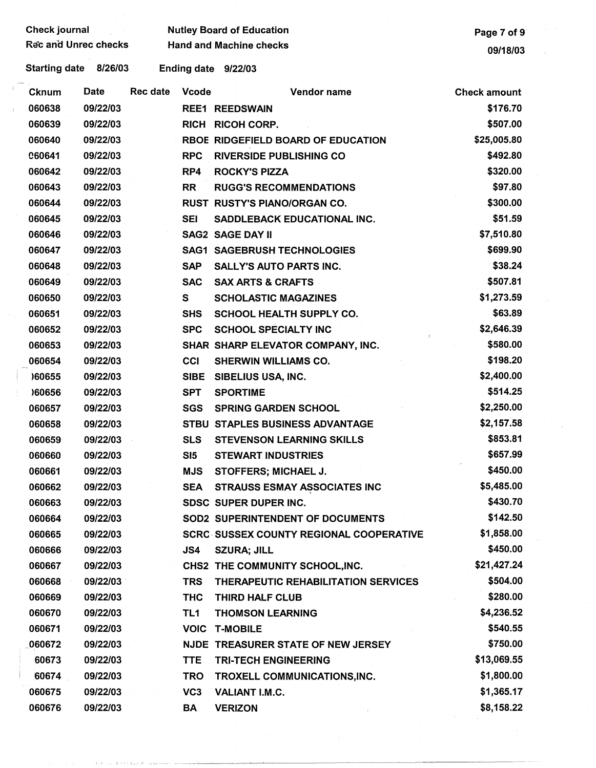| <b>Check journal</b> |                             |                 |                 | <b>Nutley Board of Education</b>               | Page 7 of 9         |  |
|----------------------|-----------------------------|-----------------|-----------------|------------------------------------------------|---------------------|--|
|                      | <b>Rec and Unrec checks</b> |                 |                 | <b>Hand and Machine checks</b>                 | 09/18/03            |  |
| <b>Starting date</b> | 8/26/03                     |                 |                 | Ending date 9/22/03                            |                     |  |
| <b>Cknum</b>         | <b>Date</b>                 | <b>Rec date</b> | <b>Vcode</b>    | Vendor name                                    | <b>Check amount</b> |  |
| 060638               | 09/22/03                    |                 |                 | <b>REE1 REEDSWAIN</b>                          | \$176.70            |  |
| 060639               | 09/22/03                    |                 | <b>RICH</b>     | <b>RICOH CORP.</b>                             | \$507.00            |  |
| 060640               | 09/22/03                    |                 |                 | <b>RBOE RIDGEFIELD BOARD OF EDUCATION</b>      | \$25,005.80         |  |
| <b>060641</b>        | 09/22/03                    |                 | <b>RPC</b>      | <b>RIVERSIDE PUBLISHING CO</b>                 | \$492.80            |  |
| 060642               | 09/22/03                    |                 | RP4             | <b>ROCKY'S PIZZA</b>                           | \$320.00            |  |
| 060643               | 09/22/03                    |                 | <b>RR</b>       | <b>RUGG'S RECOMMENDATIONS</b>                  | \$97.80             |  |
| 060644               | 09/22/03                    |                 |                 | RUST RUSTY'S PIANO/ORGAN CO.                   | \$300.00            |  |
| 060645               | 09/22/03                    |                 | <b>SEI</b>      | SADDLEBACK EDUCATIONAL INC.                    | \$51.59             |  |
| 060646               | 09/22/03                    |                 |                 | <b>SAG2 SAGE DAY II</b>                        | \$7,510.80          |  |
| 060647               | 09/22/03                    |                 |                 | <b>SAG1 SAGEBRUSH TECHNOLOGIES</b>             | \$699.90            |  |
| 060648               | 09/22/03                    |                 | <b>SAP</b>      | <b>SALLY'S AUTO PARTS INC.</b>                 | \$38.24             |  |
| 060649               | 09/22/03                    |                 | <b>SAC</b>      | <b>SAX ARTS &amp; CRAFTS</b>                   | \$507.81            |  |
| 060650               | 09/22/03                    |                 | S               | <b>SCHOLASTIC MAGAZINES</b>                    | \$1,273.59          |  |
| 060651               | 09/22/03                    |                 | <b>SHS</b>      | <b>SCHOOL HEALTH SUPPLY CO.</b>                | \$63.89             |  |
| 060652               | 09/22/03                    |                 | <b>SPC</b>      | <b>SCHOOL SPECIALTY INC</b>                    | \$2,646.39          |  |
| 060653               | 09/22/03                    |                 |                 | SHAR SHARP ELEVATOR COMPANY, INC.              | \$580.00            |  |
| 060654               | 09/22/03                    |                 | CCI             | <b>SHERWIN WILLIAMS CO.</b>                    | \$198.20            |  |
| )60655               | 09/22/03                    |                 |                 | SIBE SIBELIUS USA, INC.                        | \$2,400.00          |  |
| )60656               | 09/22/03                    |                 | <b>SPT</b>      | <b>SPORTIME</b>                                | \$514.25            |  |
| 060657               | 09/22/03                    |                 | <b>SGS</b>      | <b>SPRING GARDEN SCHOOL</b>                    | \$2,250.00          |  |
| 060658               | 09/22/03                    |                 |                 | STBU STAPLES BUSINESS ADVANTAGE                | \$2,157.58          |  |
| 060659               | 09/22/03                    |                 | <b>SLS</b>      | <b>STEVENSON LEARNING SKILLS</b>               | \$853.81            |  |
| 060660               | 09/22/03                    |                 | SI5             | <b>STEWART INDUSTRIES</b>                      | \$657.99            |  |
| 060661               | 09/22/03                    |                 | <b>MJS</b>      | <b>STOFFERS: MICHAEL J.</b>                    | \$450.00            |  |
| 060662               | 09/22/03                    |                 | <b>SEA</b>      | <b>STRAUSS ESMAY ASSOCIATES INC</b>            | \$5,485.00          |  |
| 060663               | 09/22/03                    |                 |                 | SDSC SUPER DUPER INC.                          | \$430.70            |  |
| 060664               | 09/22/03                    |                 |                 | SOD2 SUPERINTENDENT OF DOCUMENTS               | \$142.50            |  |
| 060665               | 09/22/03                    |                 |                 | <b>SCRC SUSSEX COUNTY REGIONAL COOPERATIVE</b> | \$1,858.00          |  |
| 060666               | 09/22/03                    |                 | JS4             | <b>SZURA; JILL</b>                             | \$450.00            |  |
| 060667               | 09/22/03                    |                 |                 | CHS2 THE COMMUNITY SCHOOL, INC.                | \$21,427.24         |  |
| 060668               | 09/22/03                    |                 | <b>TRS</b>      | THERAPEUTIC REHABILITATION SERVICES            | \$504.00            |  |
| 060669               | 09/22/03                    |                 | <b>THC</b>      | THIRD HALF CLUB                                | \$280.00            |  |
| 060670               | 09/22/03                    |                 | TL1             | <b>THOMSON LEARNING</b>                        | \$4,236.52          |  |
| 060671               | 09/22/03                    |                 |                 | <b>VOIC T-MOBILE</b>                           | \$540.55            |  |
| 060672               | 09/22/03                    |                 |                 | NJDE TREASURER STATE OF NEW JERSEY             | \$750.00            |  |
| 60673                | 09/22/03                    |                 | <b>TTE</b>      | <b>TRI-TECH ENGINEERING</b>                    | \$13,069.55         |  |
| 60674                | 09/22/03                    |                 | <b>TRO</b>      | TROXELL COMMUNICATIONS, INC.                   | \$1,800.00          |  |
| 060675               | 09/22/03                    |                 | VC <sub>3</sub> | VALIANT I.M.C.                                 | \$1,365.17          |  |
| 060676               | 09/22/03                    |                 | <b>BA</b>       | <b>VERIZON</b>                                 | \$8,158.22          |  |
|                      |                             |                 |                 |                                                |                     |  |
|                      |                             |                 |                 |                                                |                     |  |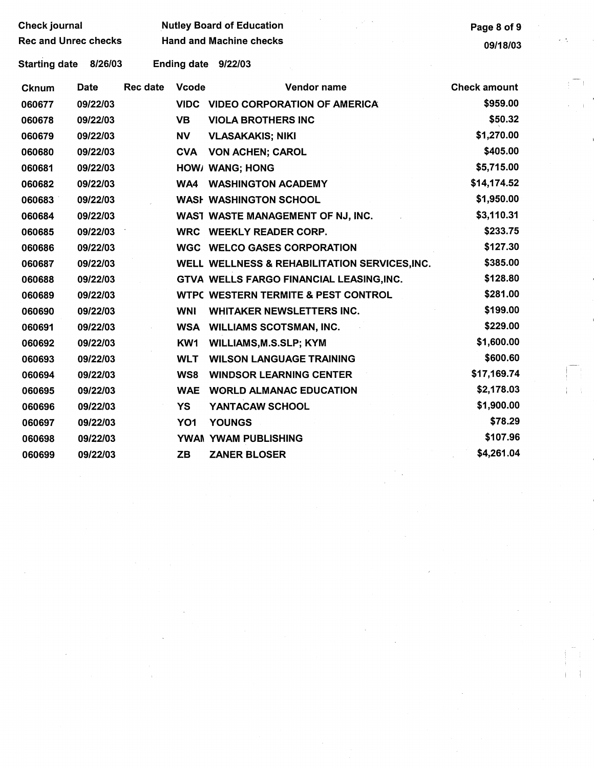| <b>Check journal</b>        |             |                                |                    | <b>Nutley Board of Education</b>               | Page 8 of 9         |
|-----------------------------|-------------|--------------------------------|--------------------|------------------------------------------------|---------------------|
| <b>Rec and Unrec checks</b> |             | <b>Hand and Machine checks</b> | 09/18/03           |                                                |                     |
| <b>Starting date</b>        | 8/26/03     |                                | <b>Ending date</b> | 9/22/03                                        |                     |
| Cknum                       | <b>Date</b> | <b>Rec date</b>                | <b>Vcode</b>       | Vendor name                                    | <b>Check amount</b> |
| 060677                      | 09/22/03    |                                | <b>VIDC</b>        | <b>VIDEO CORPORATION OF AMERICA</b>            | \$959.00            |
| 060678                      | 09/22/03    |                                | <b>VB</b>          | <b>VIOLA BROTHERS INC</b>                      | \$50.32             |
| 060679                      | 09/22/03    |                                | <b>NV</b>          | <b>VLASAKAKIS; NIKI</b>                        | \$1,270.00          |
| 060680                      | 09/22/03    |                                | <b>CVA</b>         | <b>VON ACHEN; CAROL</b>                        | \$405.00            |
| 060681                      | 09/22/03    |                                |                    | HOW/ WANG; HONG                                | \$5,715.00          |
| 060682                      | 09/22/03    |                                | WA4                | <b>WASHINGTON ACADEMY</b>                      | \$14,174.52         |
| 060683                      | 09/22/03    |                                |                    | <b>WASH WASHINGTON SCHOOL</b>                  | \$1,950.00          |
| 060684                      | 09/22/03    |                                |                    | WAST WASTE MANAGEMENT OF NJ, INC.              | \$3,110.31          |
| 060685                      | 09/22/03    |                                | <b>WRC</b>         | <b>WEEKLY READER CORP.</b>                     | \$233.75            |
| 060686                      | 09/22/03    |                                |                    | <b>WGC WELCO GASES CORPORATION</b>             | \$127.30            |
| 060687                      | 09/22/03    |                                |                    | WELL WELLNESS & REHABILITATION SERVICES, INC.  | \$385.00            |
| 060688                      | 09/22/03    |                                |                    | GTVA WELLS FARGO FINANCIAL LEASING, INC.       | \$128.80            |
| 060689                      | 09/22/03    |                                |                    | <b>WTPC WESTERN TERMITE &amp; PEST CONTROL</b> | \$281.00            |
| 060690                      | 09/22/03    |                                | <b>WNI</b>         | <b>WHITAKER NEWSLETTERS INC.</b>               | \$199.00            |
| 060691                      | 09/22/03    |                                | <b>WSA</b>         | <b>WILLIAMS SCOTSMAN, INC.</b>                 | \$229.00            |
| 060692                      | 09/22/03    |                                | KW1                | <b>WILLIAMS, M.S.SLP; KYM</b>                  | \$1,600.00          |
| 060693                      | 09/22/03    |                                | <b>WLT</b>         | <b>WILSON LANGUAGE TRAINING</b>                | \$600.60            |
| 060694                      | 09/22/03    |                                | WS8                | <b>WINDSOR LEARNING CENTER</b>                 | \$17,169.74         |
| 060695                      | 09/22/03    |                                | <b>WAE</b>         | <b>WORLD ALMANAC EDUCATION</b>                 | \$2,178.03          |
| 060696                      | 09/22/03    |                                | <b>YS</b>          | YANTACAW SCHOOL                                | \$1,900.00          |
| 060697                      | 09/22/03    |                                | YO <sub>1</sub>    | <b>YOUNGS</b>                                  | \$78.29             |
| 060698                      | 09/22/03    |                                |                    | YWAN YWAM PUBLISHING                           | \$107.96            |
| 060699                      | 09/22/03    |                                | <b>ZB</b>          | <b>ZANER BLOSER</b>                            | \$4,261.04          |

 $\langle \hat{N}^{\mu\nu} \rangle$ 

 $\label{eq:2} \mathcal{O}(\frac{1}{\epsilon})$